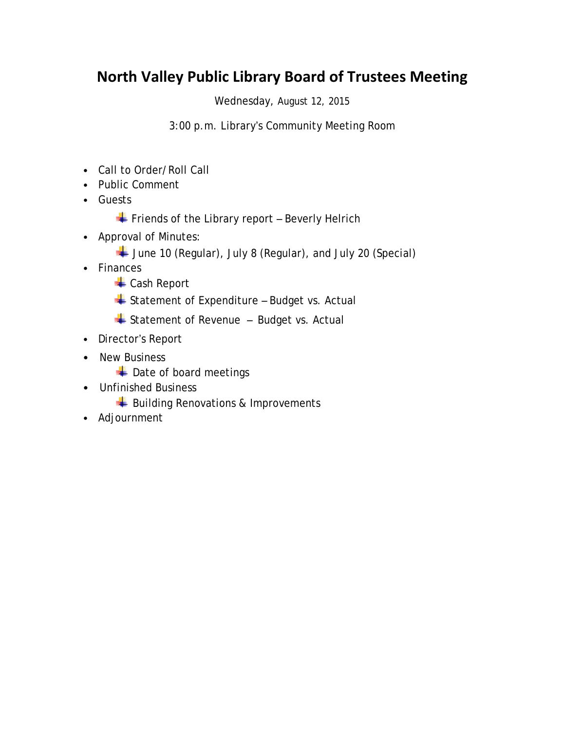## **North Valley Public Library Board of Trustees Meeting**

Wednesday, August 12, 2015

3:00 p.m. Library's Community Meeting Room

- Call to Order/Roll Call
- Public Comment
- Guests
	- $\overline{\phantom{a}}$  Friends of the Library report Beverly Helrich
- Approval of Minutes:
	- June 10 (Regular), July 8 (Regular), and July 20 (Special)
- Finances
	- Cash Report
	- Statement of Expenditure Budget vs. Actual
	- $\triangleq$  Statement of Revenue Budget vs. Actual
- Director's Report
- New Business
	- Date of board meetings
- Unfinished Business
	- Building Renovations & Improvements
- Adjournment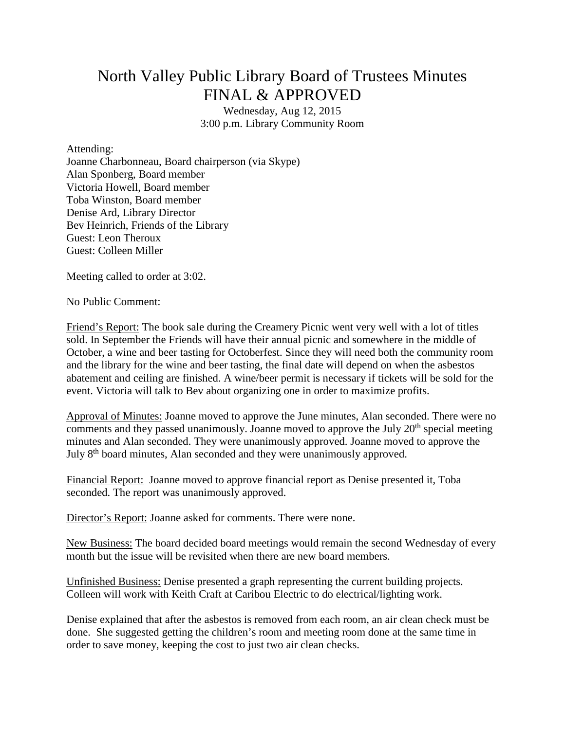## North Valley Public Library Board of Trustees Minutes FINAL & APPROVED

Wednesday, Aug 12, 2015 3:00 p.m. Library Community Room

Attending:

Joanne Charbonneau, Board chairperson (via Skype) Alan Sponberg, Board member Victoria Howell, Board member Toba Winston, Board member Denise Ard, Library Director Bev Heinrich, Friends of the Library Guest: Leon Theroux Guest: Colleen Miller

Meeting called to order at 3:02.

No Public Comment:

Friend's Report: The book sale during the Creamery Picnic went very well with a lot of titles sold. In September the Friends will have their annual picnic and somewhere in the middle of October, a wine and beer tasting for Octoberfest. Since they will need both the community room and the library for the wine and beer tasting, the final date will depend on when the asbestos abatement and ceiling are finished. A wine/beer permit is necessary if tickets will be sold for the event. Victoria will talk to Bev about organizing one in order to maximize profits.

Approval of Minutes: Joanne moved to approve the June minutes, Alan seconded. There were no comments and they passed unanimously. Joanne moved to approve the July  $20<sup>th</sup>$  special meeting minutes and Alan seconded. They were unanimously approved. Joanne moved to approve the July 8<sup>th</sup> board minutes, Alan seconded and they were unanimously approved.

Financial Report: Joanne moved to approve financial report as Denise presented it, Toba seconded. The report was unanimously approved.

Director's Report: Joanne asked for comments. There were none.

New Business: The board decided board meetings would remain the second Wednesday of every month but the issue will be revisited when there are new board members.

Unfinished Business: Denise presented a graph representing the current building projects. Colleen will work with Keith Craft at Caribou Electric to do electrical/lighting work.

Denise explained that after the asbestos is removed from each room, an air clean check must be done. She suggested getting the children's room and meeting room done at the same time in order to save money, keeping the cost to just two air clean checks.